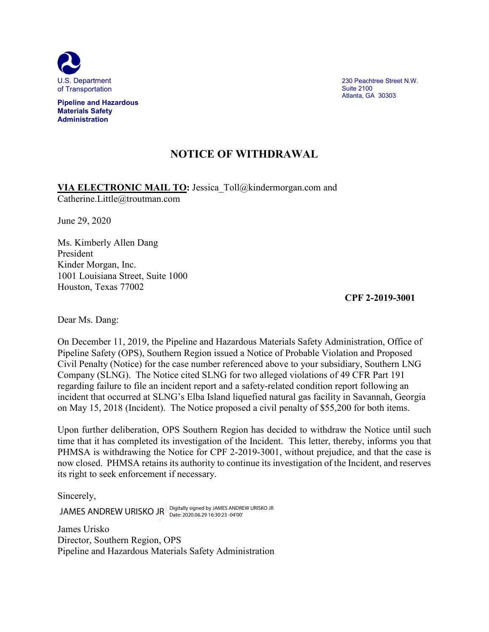

**Pipeline and Hazardous Materials Safety Administration**

230 Peachtree Street N.W. Suite 2100 Atlanta, GA 30303

## **NOTICE OF WITHDRAWAL**

**VIA ELECTRONIC MAIL TO:** Jessica\_Toll@kindermorgan.com and Catherine.Little@troutman.com

June 29, 2020

Ms. Kimberly Allen Dang President Kinder Morgan, Inc. 1001 Louisiana Street, Suite 1000 Houston, Texas 77002

**CPF 2-2019-3001**

Dear Ms. Dang:

On December 11, 2019, the Pipeline and Hazardous Materials Safety Administration, Office of Pipeline Safety (OPS), Southern Region issued a Notice of Probable Violation and Proposed Civil Penalty (Notice) for the case number referenced above to your subsidiary, Southern LNG Company (SLNG). The Notice cited SLNG for two alleged violations of 49 CFR Part 191 regarding failure to file an incident report and a safety-related condition report following an incident that occurred at SLNG's Elba Island liquefied natural gas facility in Savannah, Georgia on May 15, 2018 (Incident). The Notice proposed a civil penalty of \$55,200 for both items.

Upon further deliberation, OPS Southern Region has decided to withdraw the Notice until such time that it has completed its investigation of the Incident. This letter, thereby, informs you that PHMSA is withdrawing the Notice for CPF 2-2019-3001, without prejudice, and that the case is now closed. PHMSA retains its authority to continue its investigation of the Incident, and reserves its right to seek enforcement if necessary.

Sincerely,

JAMES ANDREW URISKO JR Digitally signed by JAMES ANDREW URISKO JR<br>Date: 2020.06.29 16:30:23 -04'00'

James Urisko Director, Southern Region, OPS Pipeline and Hazardous Materials Safety Administration